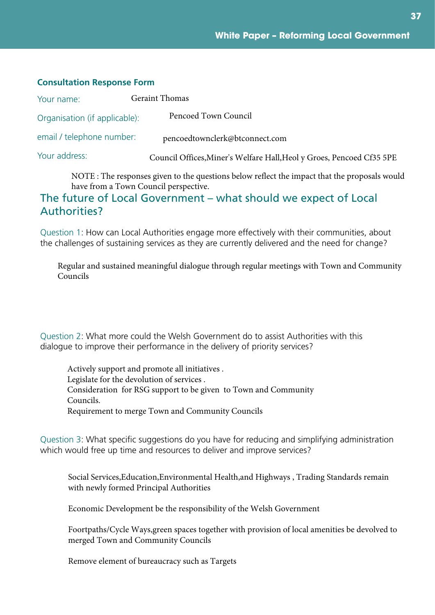**37**

#### **Consultation Response Form**

| Your name:                    | <b>Geraint Thomas</b>                                                 |
|-------------------------------|-----------------------------------------------------------------------|
| Organisation (if applicable): | Pencoed Town Council                                                  |
| email / telephone number:     | pencoedtownclerk@btconnect.com                                        |
| Your address:                 | Council Offices, Miner's Welfare Hall, Heol y Groes, Pencoed Cf35 5PE |
|                               |                                                                       |

NOTE : The responses given to the questions below reflect the impact that the proposals would have from a Town Council perspective.

#### The future of Local Government – what should we expect of Local Authorities?

Question 1: How can Local Authorities engage more effectively with their communities, about the challenges of sustaining services as they are currently delivered and the need for change?

Regular and sustained meaningful dialogue through regular meetings with Town and Community Councils

Question 2: What more could the Welsh Government do to assist Authorities with this dialogue to improve their performance in the delivery of priority services?

Actively support and promote all initiatives . Legislate for the devolution of services . Consideration for RSG support to be given to Town and Community Councils. Requirement to merge Town and Community Councils

Question 3: What specific suggestions do you have for reducing and simplifying administration which would free up time and resources to deliver and improve services?

Social Services,Education,Environmental Health,and Highways , Trading Standards remain with newly formed Principal Authorities

Economic Development be the responsibility of the Welsh Government

Foortpaths/Cycle Ways,green spaces together with provision of local amenities be devolved to merged Town and Community Councils

Remove element of bureaucracy such as Targets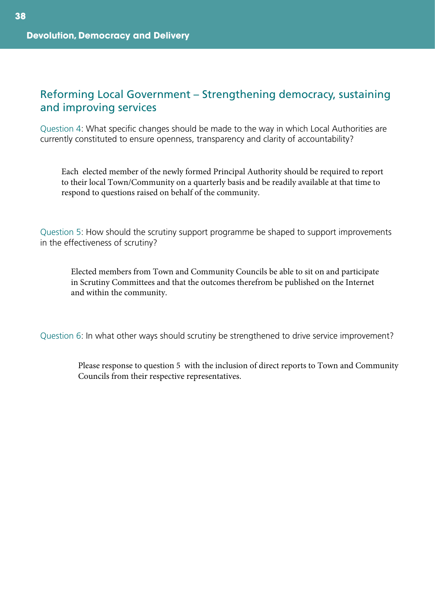#### Reforming Local Government – Strengthening democracy, sustaining and improving services

Question 4: What specific changes should be made to the way in which Local Authorities are currently constituted to ensure openness, transparency and clarity of accountability?

Each elected member of the newly formed Principal Authority should be required to report to their local Town/Community on a quarterly basis and be readily available at that time to respond to questions raised on behalf of the community.

Question 5: How should the scrutiny support programme be shaped to support improvements in the effectiveness of scrutiny?

Elected members from Town and Community Councils be able to sit on and participate in Scrutiny Committees and that the outcomes therefrom be published on the Internet and within the community.

Question 6: In what other ways should scrutiny be strengthened to drive service improvement?

Please response to question 5 with the inclusion of direct reports to Town and Community Councils from their respective representatives.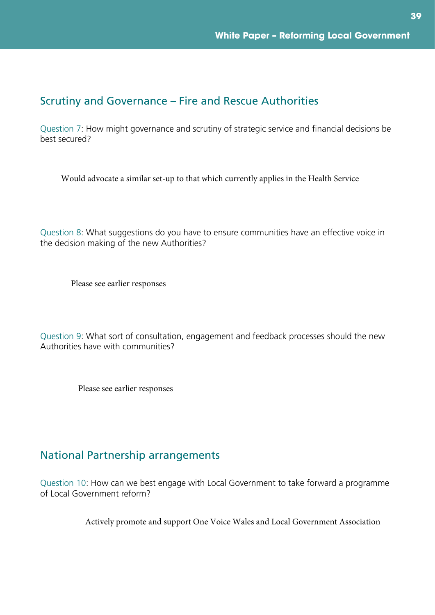# Scrutiny and Governance – Fire and Rescue Authorities

Question 7: How might governance and scrutiny of strategic service and financial decisions be best secured?

Would advocate a similar set-up to that which currently applies in the Health Service

Question 8: What suggestions do you have to ensure communities have an effective voice in the decision making of the new Authorities?

Please see earlier responses

Question 9: What sort of consultation, engagement and feedback processes should the new Authorities have with communities?

Please see earlier responses

#### National Partnership arrangements

Question 10: How can we best engage with Local Government to take forward a programme of Local Government reform?

Actively promote and support One Voice Wales and Local Government Association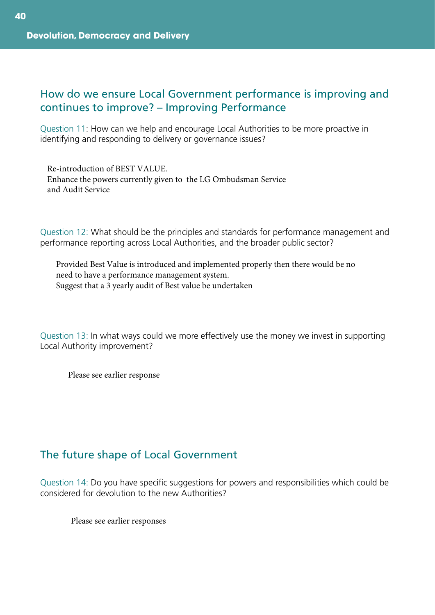#### How do we ensure Local Government performance is improving and continues to improve? – Improving Performance

Question 11: How can we help and encourage Local Authorities to be more proactive in identifying and responding to delivery or governance issues?

Re-introduction of BEST VALUE. Enhance the powers currently given to the LG Ombudsman Service and Audit Service

Question 12: What should be the principles and standards for performance management and performance reporting across Local Authorities, and the broader public sector?

Provided Best Value is introduced and implemented properly then there would be no need to have a performance management system. Suggest that a 3 yearly audit of Best value be undertaken

Question 13: In what ways could we more effectively use the money we invest in supporting Local Authority improvement?

Please see earlier response

# The future shape of Local Government

Question 14: Do you have specific suggestions for powers and responsibilities which could be considered for devolution to the new Authorities?

Please see earlier responses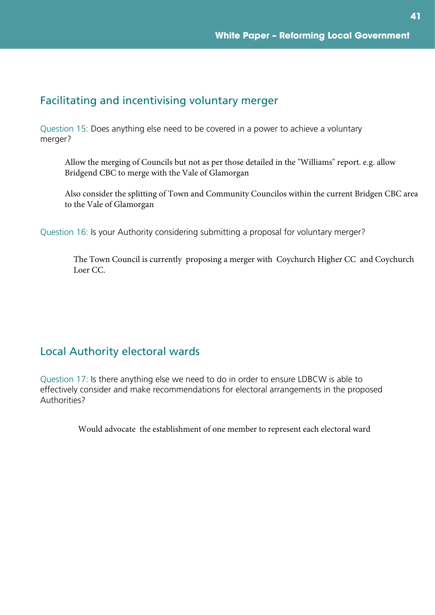### Facilitating and incentivising voluntary merger

Question 15: Does anything else need to be covered in a power to achieve a voluntary merger?

Allow the merging of Councils but not as per those detailed in the "Williams" report. e.g. allow Bridgend CBC to merge with the Vale of Glamorgan

Also consider the splitting of Town and Community Councilos within the current Bridgen CBC area to the Vale of Glamorgan

Question 16: Is your Authority considering submitting a proposal for voluntary merger?

The Town Council is currently proposing a merger with Coychurch Higher CC and Coychurch Loer CC.

#### Local Authority electoral wards

Question 17: Is there anything else we need to do in order to ensure LDBCW is able to effectively consider and make recommendations for electoral arrangements in the proposed Authorities?

Would advocate the establishment of one member to represent each electoral ward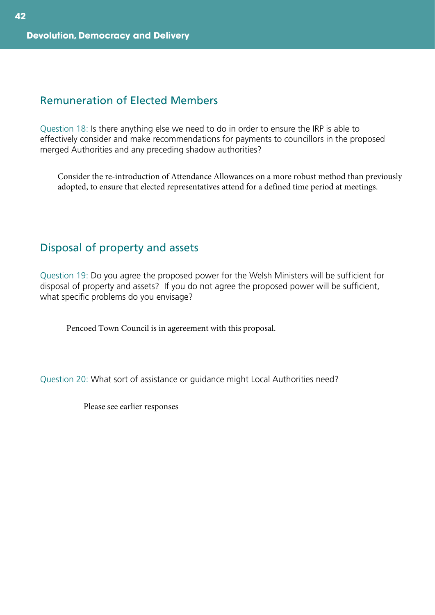#### Remuneration of Elected Members

Question 18: Is there anything else we need to do in order to ensure the IRP is able to effectively consider and make recommendations for payments to councillors in the proposed merged Authorities and any preceding shadow authorities?

Consider the re-introduction of Attendance Allowances on a more robust method than previously adopted, to ensure that elected representatives attend for a defined time period at meetings.

# Disposal of property and assets

Question 19: Do you agree the proposed power for the Welsh Ministers will be sufficient for disposal of property and assets? If you do not agree the proposed power will be sufficient, what specific problems do you envisage?

Pencoed Town Council is in agereement with this proposal.

Question 20: What sort of assistance or guidance might Local Authorities need?

Please see earlier responses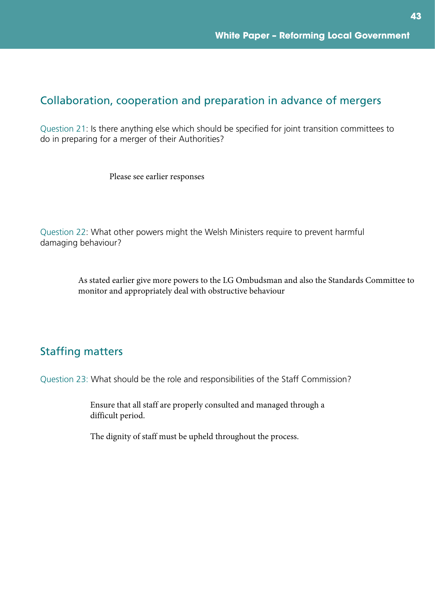# Collaboration, cooperation and preparation in advance of mergers

Question 21: Is there anything else which should be specified for joint transition committees to do in preparing for a merger of their Authorities?

Please see earlier responses

Question 22: What other powers might the Welsh Ministers require to prevent harmful damaging behaviour?

> As stated earlier give more powers to the LG Ombudsman and also the Standards Committee to monitor and appropriately deal with obstructive behaviour

# Staffing matters

Question 23: What should be the role and responsibilities of the Staff Commission?

Ensure that all staff are properly consulted and managed through a difficult period.

The dignity of staff must be upheld throughout the process.